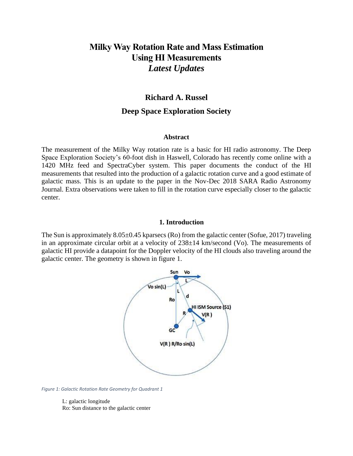# **Milky Way Rotation Rate and Mass Estimation Using HI Measurements** *Latest Updates*

## **Richard A. Russel**

## **Deep Space Exploration Society**

### **Abstract**

The measurement of the Milky Way rotation rate is a basic for HI radio astronomy. The Deep Space Exploration Society's 60-foot dish in Haswell, Colorado has recently come online with a 1420 MHz feed and SpectraCyber system. This paper documents the conduct of the HI measurements that resulted into the production of a galactic rotation curve and a good estimate of galactic mass. This is an update to the paper in the Nov-Dec 2018 SARA Radio Astronomy Journal. Extra observations were taken to fill in the rotation curve especially closer to the galactic center.

### **1. Introduction**

The Sun is approximately  $8.05\pm0.45$  kparsecs (Ro) from the galactic center (Sofue, 2017) traveling in an approximate circular orbit at a velocity of 238±14 km/second (Vo). The measurements of galactic HI provide a datapoint for the Doppler velocity of the HI clouds also traveling around the galactic center. The geometry is shown in figure 1.



*Figure 1: Galactic Rotation Rate Geometry for Quadrant 1*

L: galactic longitude Ro: Sun distance to the galactic center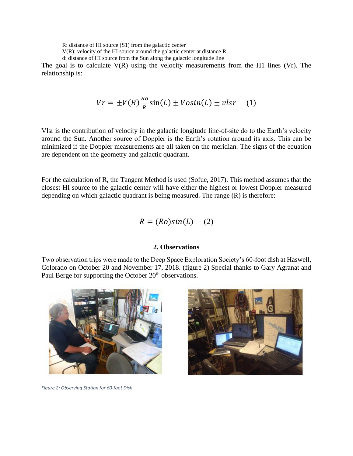R: distance of HI source (S1) from the galactic center

V(R): velocity of the HI source around the galactic center at distance R

d: distance of HI source from the Sun along the galactic longitude line

The goal is to calculate  $V(R)$  using the velocity measurements from the H1 lines (Vr). The relationship is:

$$
Vr = \pm V(R)\frac{R_o}{R}\sin(L) \pm Vosin(L) \pm vlsr \quad (1)
$$

Vlsr is the contribution of velocity in the galactic longitude line-of-site do to the Earth's velocity around the Sun. Another source of Doppler is the Earth's rotation around its axis. This can be minimized if the Doppler measurements are all taken on the meridian. The signs of the equation are dependent on the geometry and galactic quadrant.

For the calculation of R, the Tangent Method is used (Sofue, 2017). This method assumes that the closest HI source to the galactic center will have either the highest or lowest Doppler measured depending on which galactic quadrant is being measured. The range (R) is therefore:

$$
R = (Ro)sin(L) \quad (2)
$$

## **2. Observations**

Two observation trips were made to the Deep Space Exploration Society's 60-foot dish at Haswell, Colorado on October 20 and November 17, 2018. (figure 2) Special thanks to Gary Agranat and Paul Berge for supporting the October 20<sup>th</sup> observations.





*Figure 2: Observing Station for 60-foot Dish*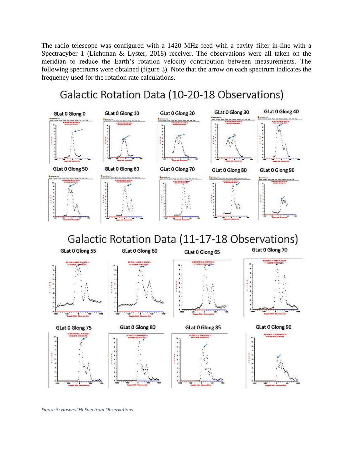The radio telescope was configured with a 1420 MHz feed with a cavity filter in-line with a Spectracyber 1 (Lichtman & Lyster, 2018) receiver. The observations were all taken on the meridian to reduce the Earth's rotation velocity contribution between measurements. The following spectrums were obtained (figure 3). Note that the arrow on each spectrum indicates the frequency used for the rotation rate calculations.

# Galactic Rotation Data (10-20-18 Observations)



*Figure 3: Haswell HI Spectrum Observations*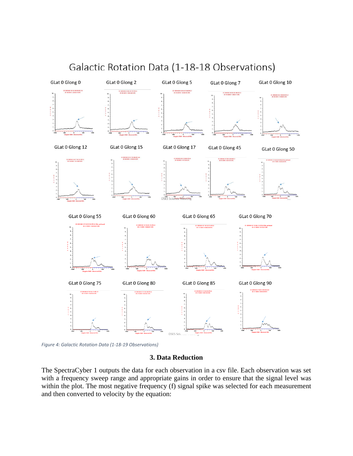

Galactic Rotation Data (1-18-18 Observations)

*Figure 4: Galactic Rotation Data (1-18-19 Observations)*

### **3. Data Reduction**

The SpectraCyber 1 outputs the data for each observation in a csv file. Each observation was set with a frequency sweep range and appropriate gains in order to ensure that the signal level was within the plot. The most negative frequency (f) signal spike was selected for each measurement and then converted to velocity by the equation: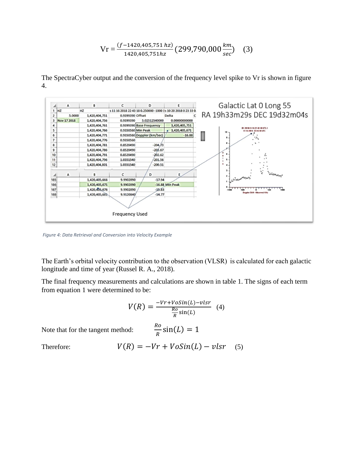$$
Vr = \frac{(f - 1420,405,751 \, hz)}{1420,405,751 \, hz} (299,790,000 \frac{km}{sec}) \quad (3)
$$

The SpectraCyber output and the conversion of the frequency level spike to Vr is shown in figure 4.



*Figure 4: Data Retrieval and Conversion into Velocity Example*

The Earth's orbital velocity contribution to the observation (VLSR) is calculated for each galactic longitude and time of year (Russel R. A., 2018).

The final frequency measurements and calculations are shown in table 1. The signs of each term from equation 1 were determined to be:

$$
V(R) = \frac{-Vr + VoSin(L) - vlsr}{\frac{Ro}{R}sin(L)}
$$
 (4)

Note that for the tangent method:

$$
\frac{Ro}{R}\sin(L) = 1
$$

Therefore:

$$
V(R) = -Vr + VoSin(L) - vlsr \quad (5)
$$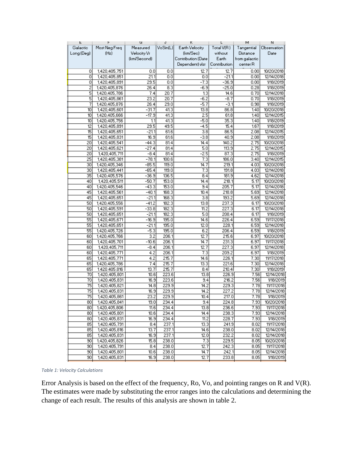| Most Neg Freq<br>VoSin(L)<br>Earth Velocity<br>Total V(R)<br>Galactic<br>Measured<br>Tangential<br>Velocity Vr<br>(km/Sec)<br>Long (Deg)<br>(Hz)<br>without<br>Distance<br>(km/Second)<br>Contribution (Date<br>Earth<br>from galactic<br>Contribution<br>Dependent) visr<br>center R<br>12.7<br>1,420,405,751<br>0<br>$_{0.0}$<br>0.0<br>12.7<br>0.00<br>$\overline{21.1}$<br>$-21.1$<br>0<br>0.0<br>0.0<br>0.00<br>1,420,405,851<br>29.5<br>0<br>0.0<br>$-7.3$<br>$-36.9$<br>1,420,405,891<br>0.00<br>$\overline{2}$<br>8.3<br>$-25.0$<br>$-6.9$<br>1,420,405,876<br>26.4<br>0.28<br>5<br>1,420,405,786<br>7.4<br>20.7<br>13<br>14.6<br>0.70<br>5<br>20.7<br>$-6.2$<br>$-8.7$<br>0.70<br>1,420,405,861<br>23.2<br>29.0<br>$-3.1$<br>1,420,405.876<br>26.4<br>$-5.7$<br>7<br>0.98<br>$-31.7$<br>41.3<br>13.8<br>86.8<br>10<br>1,420,405,601<br>1.40<br>10<br>$-17.9$<br>41.3<br>2.5<br>61.8<br>1,420,405.666<br>1.40<br>35.3<br>10<br>1,420,405,756<br>41.3<br>$-5.0$<br>1.1<br>1.40<br>$\overline{12}$<br>29.5<br>49.5<br>$-4.5$<br>15.4<br>1.67<br>1,420,405,891<br>$\overline{15}$<br>$-21.1$<br>3.8<br>86.5<br>1,420,405,651<br>61.6<br>2.08<br>15<br>16.9<br>61.6<br>40.9<br>1,420,405,831<br>$-3.8$<br>2.08 | F.              | ۲             | u       | J    | κ    | L     | м    | и                        |
|--------------------------------------------------------------------------------------------------------------------------------------------------------------------------------------------------------------------------------------------------------------------------------------------------------------------------------------------------------------------------------------------------------------------------------------------------------------------------------------------------------------------------------------------------------------------------------------------------------------------------------------------------------------------------------------------------------------------------------------------------------------------------------------------------------------------------------------------------------------------------------------------------------------------------------------------------------------------------------------------------------------------------------------------------------------------------------------------------------------------------------------------------------------------------------------------------------------------|-----------------|---------------|---------|------|------|-------|------|--------------------------|
|                                                                                                                                                                                                                                                                                                                                                                                                                                                                                                                                                                                                                                                                                                                                                                                                                                                                                                                                                                                                                                                                                                                                                                                                                    |                 |               |         |      |      |       |      | Observation              |
|                                                                                                                                                                                                                                                                                                                                                                                                                                                                                                                                                                                                                                                                                                                                                                                                                                                                                                                                                                                                                                                                                                                                                                                                                    |                 |               |         |      |      |       |      | Date                     |
|                                                                                                                                                                                                                                                                                                                                                                                                                                                                                                                                                                                                                                                                                                                                                                                                                                                                                                                                                                                                                                                                                                                                                                                                                    |                 |               |         |      |      |       |      |                          |
|                                                                                                                                                                                                                                                                                                                                                                                                                                                                                                                                                                                                                                                                                                                                                                                                                                                                                                                                                                                                                                                                                                                                                                                                                    |                 |               |         |      |      |       |      |                          |
|                                                                                                                                                                                                                                                                                                                                                                                                                                                                                                                                                                                                                                                                                                                                                                                                                                                                                                                                                                                                                                                                                                                                                                                                                    |                 |               |         |      |      |       |      |                          |
|                                                                                                                                                                                                                                                                                                                                                                                                                                                                                                                                                                                                                                                                                                                                                                                                                                                                                                                                                                                                                                                                                                                                                                                                                    |                 |               |         |      |      |       |      | 10/20/2018<br>12/14/2018 |
|                                                                                                                                                                                                                                                                                                                                                                                                                                                                                                                                                                                                                                                                                                                                                                                                                                                                                                                                                                                                                                                                                                                                                                                                                    |                 |               |         |      |      |       |      |                          |
|                                                                                                                                                                                                                                                                                                                                                                                                                                                                                                                                                                                                                                                                                                                                                                                                                                                                                                                                                                                                                                                                                                                                                                                                                    |                 |               |         |      |      |       |      | 1/18/2019                |
|                                                                                                                                                                                                                                                                                                                                                                                                                                                                                                                                                                                                                                                                                                                                                                                                                                                                                                                                                                                                                                                                                                                                                                                                                    |                 |               |         |      |      |       |      | 1/18/2019                |
|                                                                                                                                                                                                                                                                                                                                                                                                                                                                                                                                                                                                                                                                                                                                                                                                                                                                                                                                                                                                                                                                                                                                                                                                                    |                 |               |         |      |      |       |      | 12/14/2018               |
|                                                                                                                                                                                                                                                                                                                                                                                                                                                                                                                                                                                                                                                                                                                                                                                                                                                                                                                                                                                                                                                                                                                                                                                                                    |                 |               |         |      |      |       |      | 1/18/2019                |
|                                                                                                                                                                                                                                                                                                                                                                                                                                                                                                                                                                                                                                                                                                                                                                                                                                                                                                                                                                                                                                                                                                                                                                                                                    |                 |               |         |      |      |       |      | 1/18/2019                |
|                                                                                                                                                                                                                                                                                                                                                                                                                                                                                                                                                                                                                                                                                                                                                                                                                                                                                                                                                                                                                                                                                                                                                                                                                    |                 |               |         |      |      |       |      | 10/20/2018               |
|                                                                                                                                                                                                                                                                                                                                                                                                                                                                                                                                                                                                                                                                                                                                                                                                                                                                                                                                                                                                                                                                                                                                                                                                                    |                 |               |         |      |      |       |      | 12/14/2015               |
|                                                                                                                                                                                                                                                                                                                                                                                                                                                                                                                                                                                                                                                                                                                                                                                                                                                                                                                                                                                                                                                                                                                                                                                                                    |                 |               |         |      |      |       |      | 1/18/2019                |
|                                                                                                                                                                                                                                                                                                                                                                                                                                                                                                                                                                                                                                                                                                                                                                                                                                                                                                                                                                                                                                                                                                                                                                                                                    |                 |               |         |      |      |       |      | 1/18/2019                |
|                                                                                                                                                                                                                                                                                                                                                                                                                                                                                                                                                                                                                                                                                                                                                                                                                                                                                                                                                                                                                                                                                                                                                                                                                    |                 |               |         |      |      |       |      | 12/14/2015               |
|                                                                                                                                                                                                                                                                                                                                                                                                                                                                                                                                                                                                                                                                                                                                                                                                                                                                                                                                                                                                                                                                                                                                                                                                                    |                 |               |         |      |      |       |      | 1/18/2019                |
|                                                                                                                                                                                                                                                                                                                                                                                                                                                                                                                                                                                                                                                                                                                                                                                                                                                                                                                                                                                                                                                                                                                                                                                                                    | $\overline{20}$ | 1,420,405,541 | $-44.3$ | 81.4 | 14.4 | 140.2 | 2.75 | 10/20/2018               |
| 5.0<br>20<br>1,420,405,621<br>$-27.4$<br>81.4<br>113.9<br>2.75                                                                                                                                                                                                                                                                                                                                                                                                                                                                                                                                                                                                                                                                                                                                                                                                                                                                                                                                                                                                                                                                                                                                                     |                 |               |         |      |      |       |      | 12/14/2015               |
| $\overline{20}$<br>81.4<br>$-2.5$<br>87.3<br>2.75<br>1,420,405,711<br>$-8.4$                                                                                                                                                                                                                                                                                                                                                                                                                                                                                                                                                                                                                                                                                                                                                                                                                                                                                                                                                                                                                                                                                                                                       |                 |               |         |      |      |       |      | 1/18/2019                |
| $-78.1$<br>$\overline{7.3}$<br>25<br>100.6<br>186.0<br>3.40<br>1,420,405,381                                                                                                                                                                                                                                                                                                                                                                                                                                                                                                                                                                                                                                                                                                                                                                                                                                                                                                                                                                                                                                                                                                                                       |                 |               |         |      |      |       |      | 12/14/2015               |
| 30<br>$-85.5$<br>119.0<br>219.1<br>1,420,405,346<br>14.7<br>4.03                                                                                                                                                                                                                                                                                                                                                                                                                                                                                                                                                                                                                                                                                                                                                                                                                                                                                                                                                                                                                                                                                                                                                   |                 |               |         |      |      |       |      | 10/20/2018               |
| 30<br>$-65.4$<br>119.0<br>7.3<br>191.8<br>1,420,405,441<br>4.03                                                                                                                                                                                                                                                                                                                                                                                                                                                                                                                                                                                                                                                                                                                                                                                                                                                                                                                                                                                                                                                                                                                                                    |                 |               |         |      |      |       |      | 12/14/2018               |
| 35<br>136.5<br>1,420,405,576<br>$-36.9$<br>8.4<br>181.9<br>4.62                                                                                                                                                                                                                                                                                                                                                                                                                                                                                                                                                                                                                                                                                                                                                                                                                                                                                                                                                                                                                                                                                                                                                    |                 |               |         |      |      |       |      | 12/14/2018               |
| 40<br>1,420,405,511<br>$-50.7$<br>153.0<br>14.4<br>218.1<br>5.17                                                                                                                                                                                                                                                                                                                                                                                                                                                                                                                                                                                                                                                                                                                                                                                                                                                                                                                                                                                                                                                                                                                                                   |                 |               |         |      |      |       |      | 10/20/2018               |
| 40<br>$-43.3$<br>153.0<br>9.4<br>205.7<br>5.17<br>1,420,405,546                                                                                                                                                                                                                                                                                                                                                                                                                                                                                                                                                                                                                                                                                                                                                                                                                                                                                                                                                                                                                                                                                                                                                    |                 |               |         |      |      |       |      | 12/14/2018               |
| 45<br>1,420,405,561<br>$-40.1$<br>168.3<br>10.4<br>218.8<br>5.69                                                                                                                                                                                                                                                                                                                                                                                                                                                                                                                                                                                                                                                                                                                                                                                                                                                                                                                                                                                                                                                                                                                                                   |                 |               |         |      |      |       |      | 12/14/2018               |
| 45<br>$-21.1$<br>168.3<br>$\overline{3.8}$<br>193.2<br>5.69<br>1,420,405,651                                                                                                                                                                                                                                                                                                                                                                                                                                                                                                                                                                                                                                                                                                                                                                                                                                                                                                                                                                                                                                                                                                                                       |                 |               |         |      |      |       |      | 12/14/2018               |
| 50<br>$-41.2$<br>182.3<br>13.8<br>237.3<br>6.17<br>1,420,405,556                                                                                                                                                                                                                                                                                                                                                                                                                                                                                                                                                                                                                                                                                                                                                                                                                                                                                                                                                                                                                                                                                                                                                   |                 |               |         |      |      |       |      | 10/20/2018               |
| 50<br>182.3<br>11.2<br>227.3<br>1,420,405,591<br>-33.8<br>6.17                                                                                                                                                                                                                                                                                                                                                                                                                                                                                                                                                                                                                                                                                                                                                                                                                                                                                                                                                                                                                                                                                                                                                     |                 |               |         |      |      |       |      | 12/14/2018               |
| 5.0<br>50<br>$-211$<br>182.3<br>208.4<br>6.17<br>1,420,405,651                                                                                                                                                                                                                                                                                                                                                                                                                                                                                                                                                                                                                                                                                                                                                                                                                                                                                                                                                                                                                                                                                                                                                     |                 |               |         |      |      |       |      | 1/18/2019                |
| $\overline{55}$<br>$-16.9$<br>195.0<br>14.6<br>226.4<br>6.59<br>1,420,405,671                                                                                                                                                                                                                                                                                                                                                                                                                                                                                                                                                                                                                                                                                                                                                                                                                                                                                                                                                                                                                                                                                                                                      |                 |               |         |      |      |       |      | 11/17/2018               |
| $-21.1$<br>12.0<br>228.1<br>55<br>1,420,405,651<br>195.0<br>6.59                                                                                                                                                                                                                                                                                                                                                                                                                                                                                                                                                                                                                                                                                                                                                                                                                                                                                                                                                                                                                                                                                                                                                   |                 |               |         |      |      |       |      | 12/14/2018               |
| 55<br>$-5.3$<br>195.0<br>6.59<br>1,420,405,726<br>6.2<br>206.4                                                                                                                                                                                                                                                                                                                                                                                                                                                                                                                                                                                                                                                                                                                                                                                                                                                                                                                                                                                                                                                                                                                                                     |                 |               |         |      |      |       |      | 1/18/2019                |
| $\overline{3.2}$<br>206.1<br>12.7<br>215.6<br>60<br>1,420,405,766<br>6.97                                                                                                                                                                                                                                                                                                                                                                                                                                                                                                                                                                                                                                                                                                                                                                                                                                                                                                                                                                                                                                                                                                                                          |                 |               |         |      |      |       |      | 10/20/2018               |
| $-10.6$<br>206.1<br>14.7<br>231.3<br>60<br>1,420,405,701<br>6.97                                                                                                                                                                                                                                                                                                                                                                                                                                                                                                                                                                                                                                                                                                                                                                                                                                                                                                                                                                                                                                                                                                                                                   |                 |               |         |      |      |       |      | 11/17/2018               |
| 60<br>206.1<br>12.7<br>227.3<br>1,420,405,711<br>-8.4<br>6.97                                                                                                                                                                                                                                                                                                                                                                                                                                                                                                                                                                                                                                                                                                                                                                                                                                                                                                                                                                                                                                                                                                                                                      |                 |               |         |      |      |       |      | 12/14/2018               |
| 209.2<br>1,420,405,771<br>4.2<br>206.1<br>7.3<br>6.97<br>60                                                                                                                                                                                                                                                                                                                                                                                                                                                                                                                                                                                                                                                                                                                                                                                                                                                                                                                                                                                                                                                                                                                                                        |                 |               |         |      |      |       |      | 1/18/2019                |
| 65<br>215.7<br>226.1<br>7.30<br>1,420,405,771<br>4.2<br>14.6                                                                                                                                                                                                                                                                                                                                                                                                                                                                                                                                                                                                                                                                                                                                                                                                                                                                                                                                                                                                                                                                                                                                                       |                 |               |         |      |      |       |      | 11/17/2018               |
| 215.7<br>65<br>1,420,405,786<br>7.4<br>13.3<br>221.6<br>7.30                                                                                                                                                                                                                                                                                                                                                                                                                                                                                                                                                                                                                                                                                                                                                                                                                                                                                                                                                                                                                                                                                                                                                       |                 |               |         |      |      |       |      | 12/14/2018               |
| 65<br>1.420.405.816<br>13.7<br>215.7<br>8.4<br>210.4<br>7.30                                                                                                                                                                                                                                                                                                                                                                                                                                                                                                                                                                                                                                                                                                                                                                                                                                                                                                                                                                                                                                                                                                                                                       |                 |               |         |      |      |       |      | 1/18/2019                |
| 13.8<br>70<br>1,420,405,801<br>10.6<br>223.6<br>226.9<br>7.56                                                                                                                                                                                                                                                                                                                                                                                                                                                                                                                                                                                                                                                                                                                                                                                                                                                                                                                                                                                                                                                                                                                                                      |                 |               |         |      |      |       |      | 12/14/2018               |
| 70<br>16.9<br>223.6<br>9.4<br>216.2<br>7.56<br>1,420,405,831                                                                                                                                                                                                                                                                                                                                                                                                                                                                                                                                                                                                                                                                                                                                                                                                                                                                                                                                                                                                                                                                                                                                                       |                 |               |         |      |      |       |      | 1/18/2019                |
| 75<br>14.8<br>229.9<br>14.2<br>229.3<br>7.78<br>1,420,405,821                                                                                                                                                                                                                                                                                                                                                                                                                                                                                                                                                                                                                                                                                                                                                                                                                                                                                                                                                                                                                                                                                                                                                      |                 |               |         |      |      |       |      | 11/17/2018               |
| $\overline{75}$<br>$\frac{1}{227.2}$<br>16.9<br>229.9<br>14.2<br>7.78<br>1,420,405,831                                                                                                                                                                                                                                                                                                                                                                                                                                                                                                                                                                                                                                                                                                                                                                                                                                                                                                                                                                                                                                                                                                                             |                 |               |         |      |      |       |      | 12/14/2018               |
| $\overline{75}$<br>1,420,405,861<br>23.2<br>229.9<br>10.4<br>217.0<br>7.78                                                                                                                                                                                                                                                                                                                                                                                                                                                                                                                                                                                                                                                                                                                                                                                                                                                                                                                                                                                                                                                                                                                                         |                 |               |         |      |      |       |      | 1/18/2019                |
| 1,420,405,841<br>19.0<br>9.4<br>224.8<br>80<br>234.4<br>7.93                                                                                                                                                                                                                                                                                                                                                                                                                                                                                                                                                                                                                                                                                                                                                                                                                                                                                                                                                                                                                                                                                                                                                       |                 |               |         |      |      |       |      | 10/20/2018               |
| 80<br>234.4<br>13.8<br>236.6<br>7.93<br>1,420,405,806<br>11.6                                                                                                                                                                                                                                                                                                                                                                                                                                                                                                                                                                                                                                                                                                                                                                                                                                                                                                                                                                                                                                                                                                                                                      |                 |               |         |      |      |       |      | 11/17/2018               |
| 80<br>234.4<br>238.3<br>1,420,405,801<br>10.6<br>14.4<br>7.93                                                                                                                                                                                                                                                                                                                                                                                                                                                                                                                                                                                                                                                                                                                                                                                                                                                                                                                                                                                                                                                                                                                                                      |                 |               |         |      |      |       |      | 12/14/2018               |
| $\overline{80}$<br>16.9<br>234.4<br>11.2<br>228.7<br>7.93<br>1,420,405,831                                                                                                                                                                                                                                                                                                                                                                                                                                                                                                                                                                                                                                                                                                                                                                                                                                                                                                                                                                                                                                                                                                                                         |                 |               |         |      |      |       |      | 1/18/2019                |
| 85<br>8.4<br>237.1<br>1,420,405,791<br>13.3 <br>241.9<br>8.02                                                                                                                                                                                                                                                                                                                                                                                                                                                                                                                                                                                                                                                                                                                                                                                                                                                                                                                                                                                                                                                                                                                                                      |                 |               |         |      |      |       |      | 11/17/2018               |
| 85<br>237.1<br>14.6<br>238.0<br>1,420,405,816<br>13.7<br>8.02                                                                                                                                                                                                                                                                                                                                                                                                                                                                                                                                                                                                                                                                                                                                                                                                                                                                                                                                                                                                                                                                                                                                                      |                 |               |         |      |      |       |      | 12/14/2018               |
| 85<br>237.1<br>12.0<br>232.2<br>1,420,405,831<br>16.9<br>8.02                                                                                                                                                                                                                                                                                                                                                                                                                                                                                                                                                                                                                                                                                                                                                                                                                                                                                                                                                                                                                                                                                                                                                      |                 |               |         |      |      |       |      | 12/14/2018               |
| 90<br>15.8<br>7.3<br>229.5<br>1,420,405,826<br>238.0<br>8.05                                                                                                                                                                                                                                                                                                                                                                                                                                                                                                                                                                                                                                                                                                                                                                                                                                                                                                                                                                                                                                                                                                                                                       |                 |               |         |      |      |       |      | 10/20/2018               |
| 90<br>238.0<br>12.7<br>242.3<br>8.05<br>1,420,405.791<br>8.4                                                                                                                                                                                                                                                                                                                                                                                                                                                                                                                                                                                                                                                                                                                                                                                                                                                                                                                                                                                                                                                                                                                                                       |                 |               |         |      |      |       |      | 11/17/2018               |
| 90<br>238.0<br>242.1<br>1,420,405,801<br>10.6<br>14.7<br>8.05                                                                                                                                                                                                                                                                                                                                                                                                                                                                                                                                                                                                                                                                                                                                                                                                                                                                                                                                                                                                                                                                                                                                                      |                 |               |         |      |      |       |      | 12/14/2018               |
| 90<br>16.9<br>238.0<br>12.7<br>233.8<br>1,420,405,831<br>8.05                                                                                                                                                                                                                                                                                                                                                                                                                                                                                                                                                                                                                                                                                                                                                                                                                                                                                                                                                                                                                                                                                                                                                      |                 |               |         |      |      |       |      | 1/18/2019                |

*Table 1: Velocity Calculations*

Error Analysis is based on the effect of the frequency, Ro, Vo, and pointing ranges on R and V(R). The estimates were made by substituting the error ranges into the calculations and determining the change of each result. The results of this analysis are shown in table 2.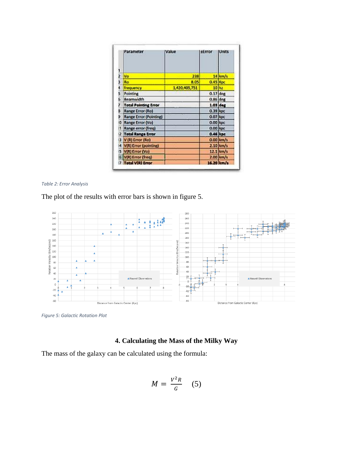|    | Parameter                   | Value         | tError     | <b>Units</b> |
|----|-----------------------------|---------------|------------|--------------|
|    |                             |               |            |              |
| 2  | Wa                          | 238           |            | $14$ km/s    |
| 3  | Ro                          | 8.05          | 0.45 Kpc   |              |
|    | frequency                   | 1,420,405,751 |            | 10 hz        |
| 5  | Pointing                    |               | $0.17$ deg |              |
| Б  | <b>Beamwidth</b>            |               | $0.86$ deg |              |
|    | <b>Total Pointing Error</b> |               | $1.03$ deg |              |
| a  | Range Error (Ro)            |               | $0.39$ kpc |              |
| 9  | Range Error (Pointing)      |               | $0.07$ kpc |              |
| ۱O | Range Error (Vo)            |               | $0.00$ kpc |              |
| n  | Range error (freq)          |               | $0.00$ kpc |              |
|    | 2 Total Range Error         |               | 0.46 kpc   |              |
|    | 3 V (R) Error (Ro)          |               |            | $0.00$ km/s  |
|    | 4 VIRI Error (pointing)     |               |            | $2.10$ km/s  |
|    | 5 WR Error (Vo)             |               |            | 12.1 km/s    |
|    | 6 WR) Error (freq)          |               |            | $2.00$ km/s  |
|    | 7 Total VCRI Error          |               | 16.20 km/s |              |

*Table 2: Error Analysis*

The plot of the results with error bars is shown in figure 5.



*Figure 5: Galactic Rotation Plot*

# **4. Calculating the Mass of the Milky Way**

The mass of the galaxy can be calculated using the formula:

$$
M = \frac{V^2 R}{G} \quad (5)
$$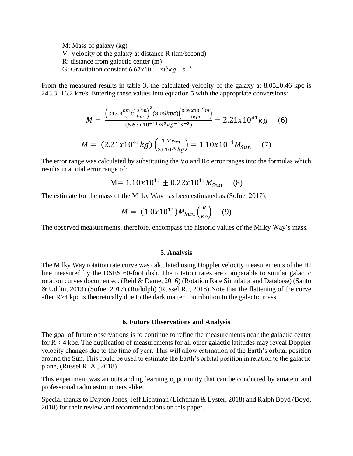M: Mass of galaxy (kg) V: Velocity of the galaxy at distance R (km/second) R: distance from galactic center (m) G: Gravitation constant  $6.67x10^{-11}m^3kg^{-1}s^{-2}$ 

From the measured results in table 3, the calculated velocity of the galaxy at  $8.05\pm0.46$  kpc is  $243.3\pm16.2$  km/s. Entering these values into equation 5 with the appropriate conversions:

$$
M = \frac{\left(243.3 \frac{km}{s} x \frac{10^3 m}{km}\right)^2 (8.05 kpc) \left(\frac{3.09 \times 10^{19} m}{1 kpc}\right)}{(6.67 \times 10^{-11} m^3 kg^{-1} s^{-2})} = 2.21 \times 10^{41} kg \quad (6)
$$
  

$$
M = (2.21 \times 10^{41} kg) \left(\frac{1 M_{Sun}}{2 \times 10^{30} kg}\right) = 1.10 \times 10^{11} M_{Sun} \quad (7)
$$

The error range was calculated by substituting the Vo and Ro error ranges into the formulas which results in a total error range of:

$$
M = 1.10x10^{11} \pm 0.22x10^{11} M_{Sun} \quad (8)
$$

The estimate for the mass of the Milky Way has been estimated as (Sofue, 2017):

$$
M = (1.0x10^{11})M_{Sun}\left(\frac{R}{R_o}\right) \quad (9)
$$

The observed measurements, therefore, encompass the historic values of the Milky Way's mass.

#### **5. Analysis**

The Milky Way rotation rate curve was calculated using Doppler velocity measurements of the HI line measured by the DSES 60-foot dish. The rotation rates are comparable to similar galactic rotation curves documented. (Reid & Dame, 2016) (Rotation Rate Simulator and Database) (Santo & Uddin, 2013) (Sofue, 2017) (Rudolph) (Russel R. , 2018) Note that the flattening of the curve after R>4 kpc is theoretically due to the dark matter contribution to the galactic mass.

### **6. Future Observations and Analysis**

The goal of future observations is to continue to refine the measurements near the galactic center for  $R < 4$  kpc. The duplication of measurements for all other galactic latitudes may reveal Doppler velocity changes due to the time of year. This will allow estimation of the Earth's orbital position around the Sun. This could be used to estimate the Earth's orbital position in relation to the galactic plane, (Russel R. A., 2018)

This experiment was an outstanding learning opportunity that can be conducted by amateur and professional radio astronomers alike.

Special thanks to Dayton Jones, Jeff Lichtman (Lichtman & Lyster, 2018) and Ralph Boyd (Boyd, 2018) for their review and recommendations on this paper.